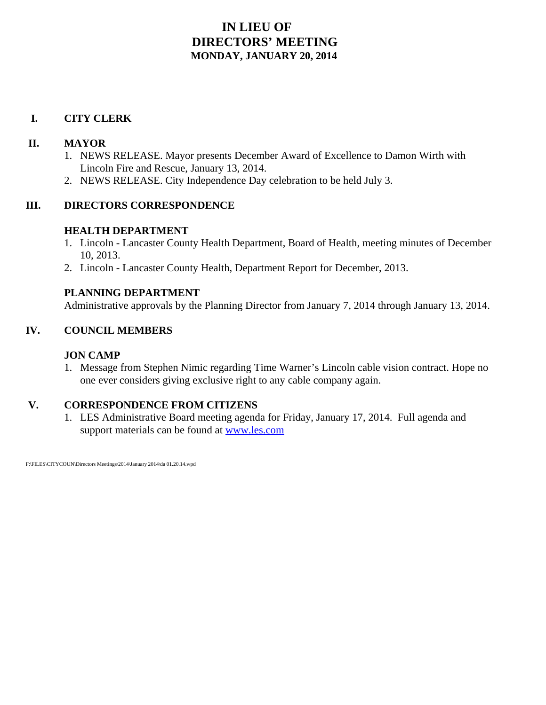# **IN LIEU OF DIRECTORS' MEETING MONDAY, JANUARY 20, 2014**

# **I. CITY CLERK**

# **II. MAYOR**

- 1. NEWS RELEASE. Mayor presents December Award of Excellence to Damon Wirth with Lincoln Fire and Rescue, January 13, 2014.
- 2. NEWS RELEASE. City Independence Day celebration to be held July 3.

# **III. DIRECTORS CORRESPONDENCE**

# **HEALTH DEPARTMENT**

- 1. Lincoln Lancaster County Health Department, Board of Health, meeting minutes of December 10, 2013.
- 2. Lincoln Lancaster County Health, Department Report for December, 2013.

# **PLANNING DEPARTMENT**

Administrative approvals by the Planning Director from January 7, 2014 through January 13, 2014.

# **IV. COUNCIL MEMBERS**

# **JON CAMP**

1. Message from Stephen Nimic regarding Time Warner's Lincoln cable vision contract. Hope no one ever considers giving exclusive right to any cable company again.

# **V. CORRESPONDENCE FROM CITIZENS**

1. LES Administrative Board meeting agenda for Friday, January 17, 2014. Full agenda and support materials can be found at www.les.com

F:\FILES\CITYCOUN\Directors Meetings\2014\January 2014\da 01.20.14.wpd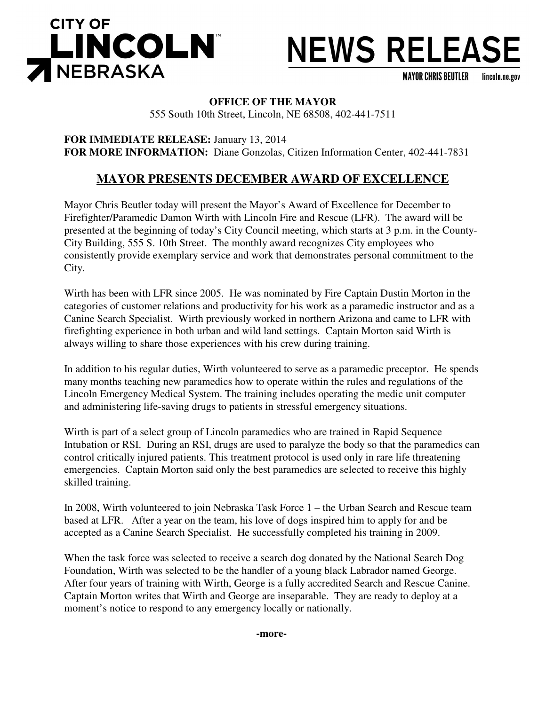

# **NEWS RELEASE**

**MAYOR CHRIS BEUTLER** lincoln.ne.gov

## **OFFICE OF THE MAYOR**

555 South 10th Street, Lincoln, NE 68508, 402-441-7511

**FOR IMMEDIATE RELEASE:** January 13, 2014 **FOR MORE INFORMATION:** Diane Gonzolas, Citizen Information Center, 402-441-7831

# **MAYOR PRESENTS DECEMBER AWARD OF EXCELLENCE**

Mayor Chris Beutler today will present the Mayor's Award of Excellence for December to Firefighter/Paramedic Damon Wirth with Lincoln Fire and Rescue (LFR). The award will be presented at the beginning of today's City Council meeting, which starts at 3 p.m. in the County-City Building, 555 S. 10th Street. The monthly award recognizes City employees who consistently provide exemplary service and work that demonstrates personal commitment to the City.

Wirth has been with LFR since 2005. He was nominated by Fire Captain Dustin Morton in the categories of customer relations and productivity for his work as a paramedic instructor and as a Canine Search Specialist. Wirth previously worked in northern Arizona and came to LFR with firefighting experience in both urban and wild land settings. Captain Morton said Wirth is always willing to share those experiences with his crew during training.

In addition to his regular duties, Wirth volunteered to serve as a paramedic preceptor. He spends many months teaching new paramedics how to operate within the rules and regulations of the Lincoln Emergency Medical System. The training includes operating the medic unit computer and administering life-saving drugs to patients in stressful emergency situations.

Wirth is part of a select group of Lincoln paramedics who are trained in Rapid Sequence Intubation or RSI. During an RSI, drugs are used to paralyze the body so that the paramedics can control critically injured patients. This treatment protocol is used only in rare life threatening emergencies. Captain Morton said only the best paramedics are selected to receive this highly skilled training.

In 2008, Wirth volunteered to join Nebraska Task Force 1 – the Urban Search and Rescue team based at LFR. After a year on the team, his love of dogs inspired him to apply for and be accepted as a Canine Search Specialist. He successfully completed his training in 2009.

When the task force was selected to receive a search dog donated by the National Search Dog Foundation, Wirth was selected to be the handler of a young black Labrador named George. After four years of training with Wirth, George is a fully accredited Search and Rescue Canine. Captain Morton writes that Wirth and George are inseparable. They are ready to deploy at a moment's notice to respond to any emergency locally or nationally.

**-more-**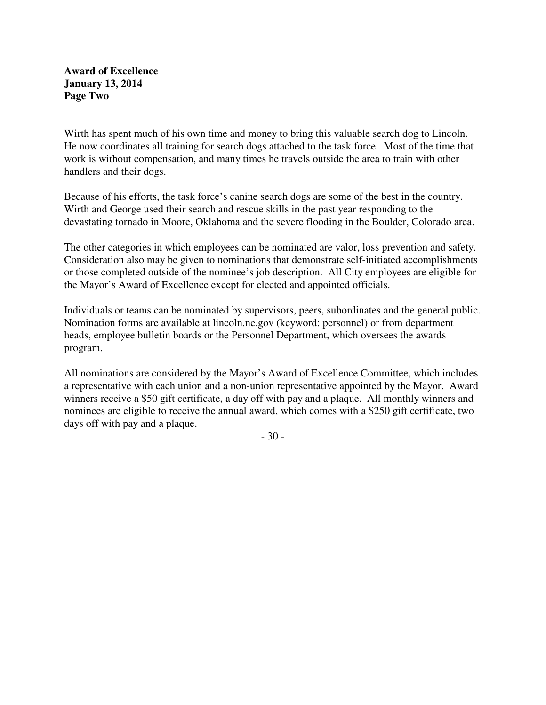## **Award of Excellence January 13, 2014 Page Two**

Wirth has spent much of his own time and money to bring this valuable search dog to Lincoln. He now coordinates all training for search dogs attached to the task force. Most of the time that work is without compensation, and many times he travels outside the area to train with other handlers and their dogs.

Because of his efforts, the task force's canine search dogs are some of the best in the country. Wirth and George used their search and rescue skills in the past year responding to the devastating tornado in Moore, Oklahoma and the severe flooding in the Boulder, Colorado area.

The other categories in which employees can be nominated are valor, loss prevention and safety. Consideration also may be given to nominations that demonstrate self-initiated accomplishments or those completed outside of the nominee's job description. All City employees are eligible for the Mayor's Award of Excellence except for elected and appointed officials.

Individuals or teams can be nominated by supervisors, peers, subordinates and the general public. Nomination forms are available at lincoln.ne.gov (keyword: personnel) or from department heads, employee bulletin boards or the Personnel Department, which oversees the awards program.

All nominations are considered by the Mayor's Award of Excellence Committee, which includes a representative with each union and a non-union representative appointed by the Mayor. Award winners receive a \$50 gift certificate, a day off with pay and a plaque. All monthly winners and nominees are eligible to receive the annual award, which comes with a \$250 gift certificate, two days off with pay and a plaque.

- 30 -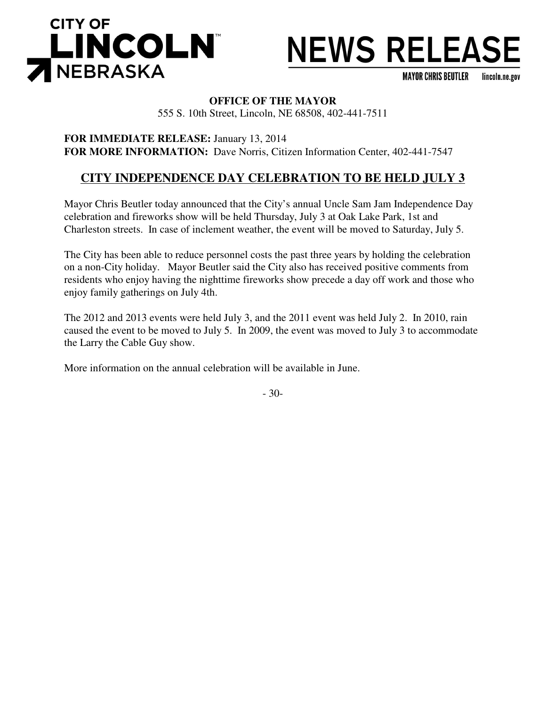



**MAYOR CHRIS BEUTLER** lincoln.ne.gov

## **OFFICE OF THE MAYOR**

555 S. 10th Street, Lincoln, NE 68508, 402-441-7511

**FOR IMMEDIATE RELEASE:** January 13, 2014 **FOR MORE INFORMATION:** Dave Norris, Citizen Information Center, 402-441-7547

# **CITY INDEPENDENCE DAY CELEBRATION TO BE HELD JULY 3**

Mayor Chris Beutler today announced that the City's annual Uncle Sam Jam Independence Day celebration and fireworks show will be held Thursday, July 3 at Oak Lake Park, 1st and Charleston streets. In case of inclement weather, the event will be moved to Saturday, July 5.

The City has been able to reduce personnel costs the past three years by holding the celebration on a non-City holiday. Mayor Beutler said the City also has received positive comments from residents who enjoy having the nighttime fireworks show precede a day off work and those who enjoy family gatherings on July 4th.

The 2012 and 2013 events were held July 3, and the 2011 event was held July 2. In 2010, rain caused the event to be moved to July 5. In 2009, the event was moved to July 3 to accommodate the Larry the Cable Guy show.

More information on the annual celebration will be available in June.

- 30-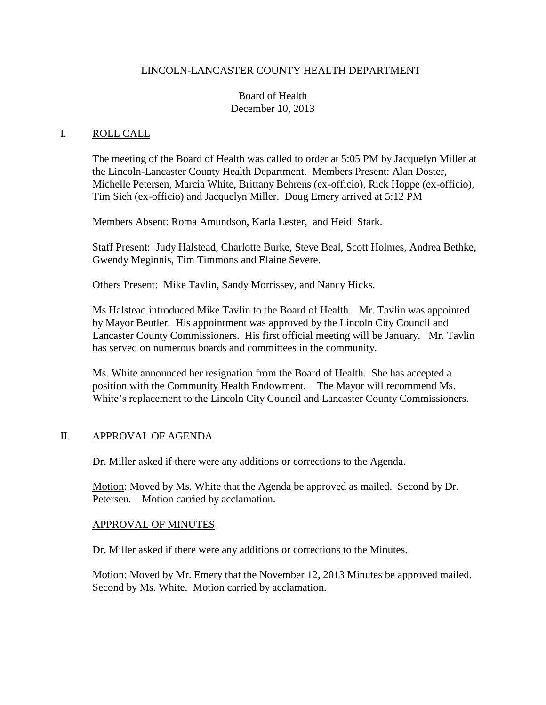#### LINCOLN-LANCASTER COUNTY HEALTH DEPARTMENT

## Board of Health December 10, 2013

#### I. ROLL CALL

The meeting of the Board of Health was called to order at 5:05 PM by Jacquelyn Miller at the Lincoln-Lancaster County Health Department. Members Present: Alan Doster, Michelle Petersen, Marcia White, Brittany Behrens (ex-officio), Rick Hoppe (ex-officio), Tim Sieh (ex-officio) and Jacquelyn Miller. Doug Emery arrived at 5:12 PM

Members Absent: Roma Amundson, Karla Lester, and Heidi Stark.

Staff Present: Judy Halstead, Charlotte Burke, Steve Beal, Scott Holmes, Andrea Bethke, Gwendy Meginnis, Tim Timmons and Elaine Severe.

Others Present: Mike Tavlin, Sandy Morrissey, and Nancy Hicks.

Ms Halstead introduced Mike Tavlin to the Board of Health. Mr. Tavlin was appointed by Mayor Beutler. His appointment was approved by the Lincoln City Council and Lancaster County Commissioners. His first official meeting will be January. Mr. Tavlin has served on numerous boards and committees in the community.

Ms. White announced her resignation from the Board of Health. She has accepted a position with the Community Health Endowment. The Mayor will recommend Ms. White's replacement to the Lincoln City Council and Lancaster County Commissioners.

## II. APPROVAL OF AGENDA

Dr. Miller asked if there were any additions or corrections to the Agenda.

Motion: Moved by Ms. White that the Agenda be approved as mailed. Second by Dr. Petersen. Motion carried by acclamation.

#### APPROVAL OF MINUTES

Dr. Miller asked if there were any additions or corrections to the Minutes.

Motion: Moved by Mr. Emery that the November 12, 2013 Minutes be approved mailed. Second by Ms. White. Motion carried by acclamation.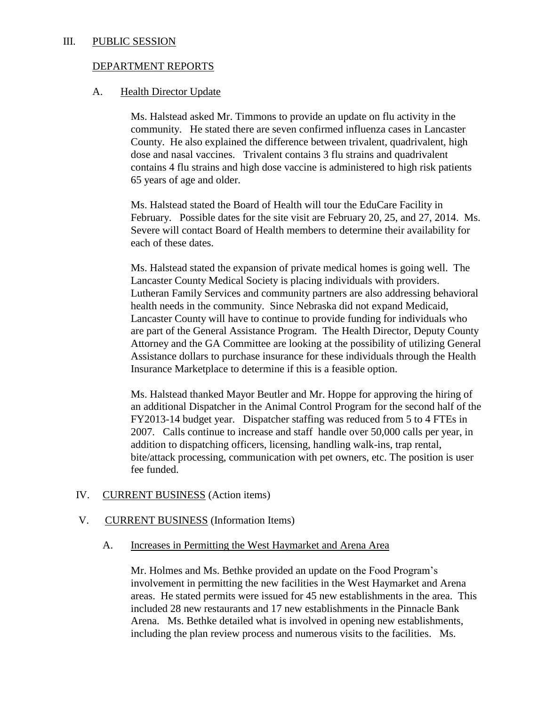#### III. PUBLIC SESSION

## DEPARTMENT REPORTS

## A. Health Director Update

Ms. Halstead asked Mr. Timmons to provide an update on flu activity in the community. He stated there are seven confirmed influenza cases in Lancaster County. He also explained the difference between trivalent, quadrivalent, high dose and nasal vaccines. Trivalent contains 3 flu strains and quadrivalent contains 4 flu strains and high dose vaccine is administered to high risk patients 65 years of age and older.

Ms. Halstead stated the Board of Health will tour the EduCare Facility in February. Possible dates for the site visit are February 20, 25, and 27, 2014. Ms. Severe will contact Board of Health members to determine their availability for each of these dates.

Ms. Halstead stated the expansion of private medical homes is going well. The Lancaster County Medical Society is placing individuals with providers. Lutheran Family Services and community partners are also addressing behavioral health needs in the community. Since Nebraska did not expand Medicaid, Lancaster County will have to continue to provide funding for individuals who are part of the General Assistance Program. The Health Director, Deputy County Attorney and the GA Committee are looking at the possibility of utilizing General Assistance dollars to purchase insurance for these individuals through the Health Insurance Marketplace to determine if this is a feasible option.

Ms. Halstead thanked Mayor Beutler and Mr. Hoppe for approving the hiring of an additional Dispatcher in the Animal Control Program for the second half of the FY2013-14 budget year. Dispatcher staffing was reduced from 5 to 4 FTEs in 2007. Calls continue to increase and staff handle over 50,000 calls per year, in addition to dispatching officers, licensing, handling walk-ins, trap rental, bite/attack processing, communication with pet owners, etc. The position is user fee funded.

## IV. CURRENT BUSINESS (Action items)

## V. CURRENT BUSINESS (Information Items)

A. Increases in Permitting the West Haymarket and Arena Area

Mr. Holmes and Ms. Bethke provided an update on the Food Program's involvement in permitting the new facilities in the West Haymarket and Arena areas. He stated permits were issued for 45 new establishments in the area. This included 28 new restaurants and 17 new establishments in the Pinnacle Bank Arena. Ms. Bethke detailed what is involved in opening new establishments, including the plan review process and numerous visits to the facilities. Ms.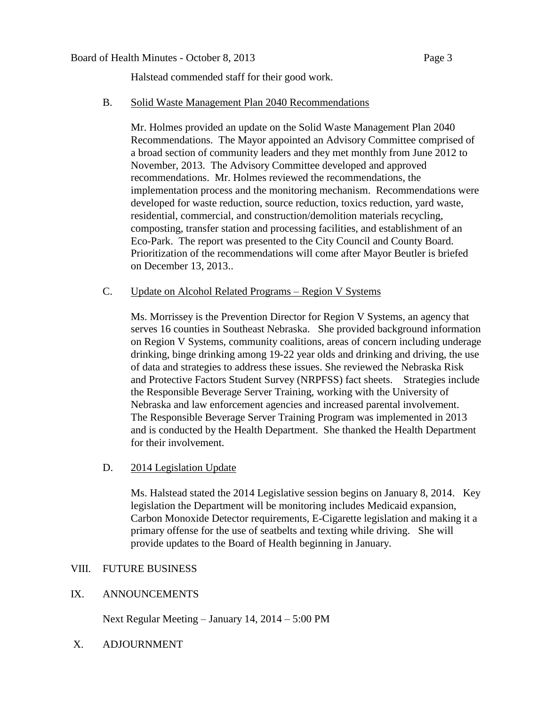#### Board of Health Minutes - October 8, 2013 Page 3

Halstead commended staff for their good work.

#### B. Solid Waste Management Plan 2040 Recommendations

Mr. Holmes provided an update on the Solid Waste Management Plan 2040 Recommendations. The Mayor appointed an Advisory Committee comprised of a broad section of community leaders and they met monthly from June 2012 to November, 2013. The Advisory Committee developed and approved recommendations. Mr. Holmes reviewed the recommendations, the implementation process and the monitoring mechanism. Recommendations were developed for waste reduction, source reduction, toxics reduction, yard waste, residential, commercial, and construction/demolition materials recycling, composting, transfer station and processing facilities, and establishment of an Eco-Park. The report was presented to the City Council and County Board. Prioritization of the recommendations will come after Mayor Beutler is briefed on December 13, 2013..

## C. Update on Alcohol Related Programs – Region V Systems

Ms. Morrissey is the Prevention Director for Region V Systems, an agency that serves 16 counties in Southeast Nebraska. She provided background information on Region V Systems, community coalitions, areas of concern including underage drinking, binge drinking among 19-22 year olds and drinking and driving, the use of data and strategies to address these issues. She reviewed the Nebraska Risk and Protective Factors Student Survey (NRPFSS) fact sheets. Strategies include the Responsible Beverage Server Training, working with the University of Nebraska and law enforcement agencies and increased parental involvement. The Responsible Beverage Server Training Program was implemented in 2013 and is conducted by the Health Department. She thanked the Health Department for their involvement.

## D. 2014 Legislation Update

Ms. Halstead stated the 2014 Legislative session begins on January 8, 2014. Key legislation the Department will be monitoring includes Medicaid expansion, Carbon Monoxide Detector requirements, E-Cigarette legislation and making it a primary offense for the use of seatbelts and texting while driving. She will provide updates to the Board of Health beginning in January.

## VIII. FUTURE BUSINESS

## IX. ANNOUNCEMENTS

Next Regular Meeting – January 14, 2014 – 5:00 PM

X. ADJOURNMENT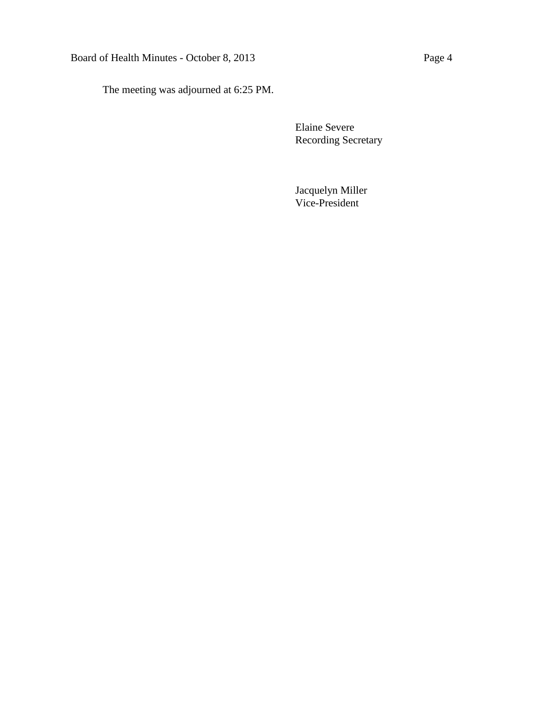# Board of Health Minutes - October 8, 2013 Page 4

The meeting was adjourned at 6:25 PM.

Elaine Severe Recording Secretary

Jacquelyn Miller Vice-President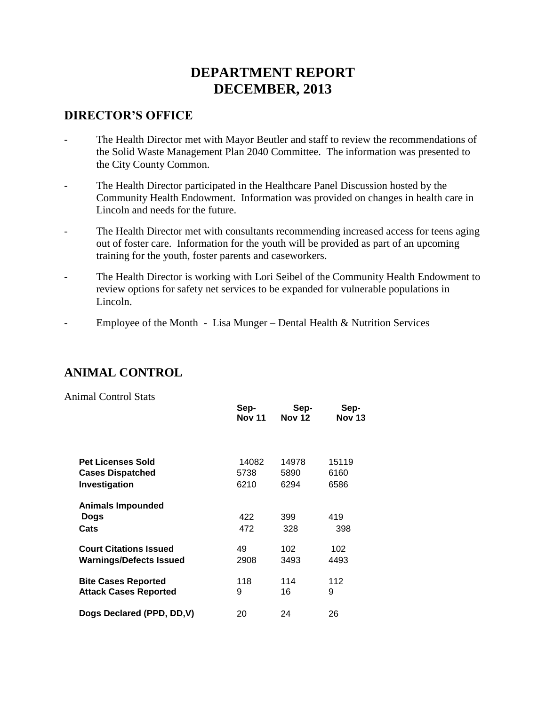# **DEPARTMENT REPORT DECEMBER, 2013**

# **DIRECTOR'S OFFICE**

- The Health Director met with Mayor Beutler and staff to review the recommendations of the Solid Waste Management Plan 2040 Committee. The information was presented to the City County Common.
- The Health Director participated in the Healthcare Panel Discussion hosted by the Community Health Endowment. Information was provided on changes in health care in Lincoln and needs for the future.
- The Health Director met with consultants recommending increased access for teens aging out of foster care. Information for the youth will be provided as part of an upcoming training for the youth, foster parents and caseworkers.
- The Health Director is working with Lori Seibel of the Community Health Endowment to review options for safety net services to be expanded for vulnerable populations in Lincoln.
- Employee of the Month Lisa Munger Dental Health & Nutrition Services

# **ANIMAL CONTROL**

Animal Control Stats

|                                | Sep-<br><b>Nov 11</b> | Sep-<br><b>Nov 12</b> | Sep-<br><b>Nov 13</b> |
|--------------------------------|-----------------------|-----------------------|-----------------------|
|                                |                       |                       |                       |
| <b>Pet Licenses Sold</b>       | 14082                 | 14978                 | 15119                 |
| <b>Cases Dispatched</b>        | 5738                  | 5890                  | 6160                  |
| Investigation                  | 6210                  | 6294                  | 6586                  |
| <b>Animals Impounded</b>       |                       |                       |                       |
| Dogs                           | 422                   | 399                   | 419                   |
| Cats                           | 472                   | 328                   | 398                   |
| <b>Court Citations Issued</b>  | 49                    | 102                   | 102                   |
| <b>Warnings/Defects Issued</b> | 2908                  | 3493                  | 4493                  |
| <b>Bite Cases Reported</b>     | 118                   | 114                   | 112                   |
| <b>Attack Cases Reported</b>   | 9                     | 16                    | 9                     |
| Dogs Declared (PPD, DD, V)     | 20                    | 24                    | 26                    |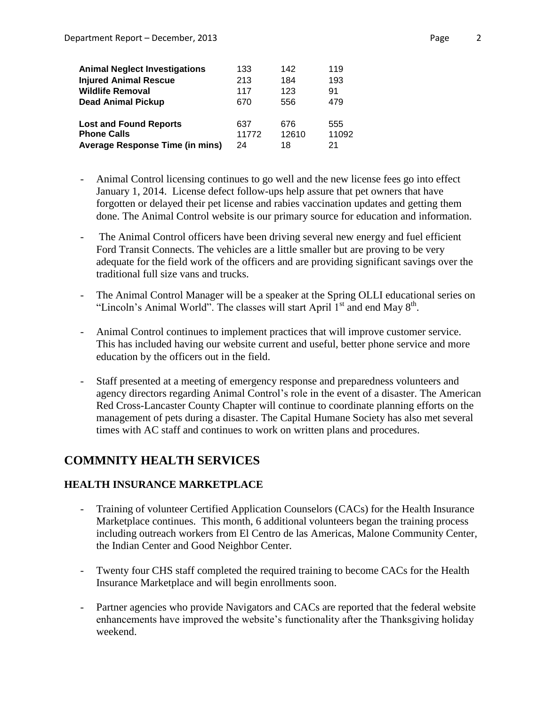| <b>Animal Neglect Investigations</b>   | 133   | 142   | 119   |
|----------------------------------------|-------|-------|-------|
| <b>Injured Animal Rescue</b>           | 213   | 184   | 193   |
| <b>Wildlife Removal</b>                | 117   | 123   | 91    |
| <b>Dead Animal Pickup</b>              | 670   | 556   | 479   |
| <b>Lost and Found Reports</b>          | 637   | 676   | 555   |
| <b>Phone Calls</b>                     | 11772 | 12610 | 11092 |
| <b>Average Response Time (in mins)</b> | 24    | 18    | 21    |

- Animal Control licensing continues to go well and the new license fees go into effect January 1, 2014. License defect follow-ups help assure that pet owners that have forgotten or delayed their pet license and rabies vaccination updates and getting them done. The Animal Control website is our primary source for education and information.
- The Animal Control officers have been driving several new energy and fuel efficient Ford Transit Connects. The vehicles are a little smaller but are proving to be very adequate for the field work of the officers and are providing significant savings over the traditional full size vans and trucks.
- The Animal Control Manager will be a speaker at the Spring OLLI educational series on "Lincoln's Animal World". The classes will start April  $1<sup>st</sup>$  and end May  $8<sup>th</sup>$ .
- Animal Control continues to implement practices that will improve customer service. This has included having our website current and useful, better phone service and more education by the officers out in the field.
- Staff presented at a meeting of emergency response and preparedness volunteers and agency directors regarding Animal Control's role in the event of a disaster. The American Red Cross-Lancaster County Chapter will continue to coordinate planning efforts on the management of pets during a disaster. The Capital Humane Society has also met several times with AC staff and continues to work on written plans and procedures.

# **COMMNITY HEALTH SERVICES**

## **HEALTH INSURANCE MARKETPLACE**

- Training of volunteer Certified Application Counselors (CACs) for the Health Insurance Marketplace continues. This month, 6 additional volunteers began the training process including outreach workers from El Centro de las Americas, Malone Community Center, the Indian Center and Good Neighbor Center.
- Twenty four CHS staff completed the required training to become CACs for the Health Insurance Marketplace and will begin enrollments soon.
- Partner agencies who provide Navigators and CACs are reported that the federal website enhancements have improved the website's functionality after the Thanksgiving holiday weekend.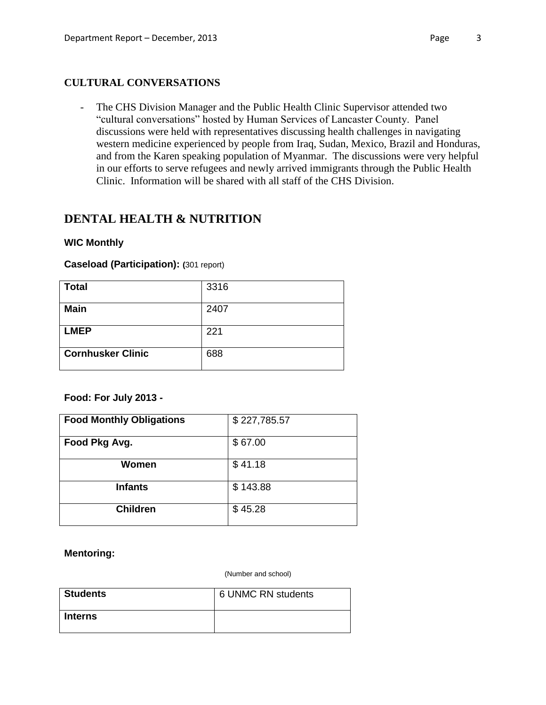## **CULTURAL CONVERSATIONS**

- The CHS Division Manager and the Public Health Clinic Supervisor attended two "cultural conversations" hosted by Human Services of Lancaster County. Panel discussions were held with representatives discussing health challenges in navigating western medicine experienced by people from Iraq, Sudan, Mexico, Brazil and Honduras, and from the Karen speaking population of Myanmar. The discussions were very helpful in our efforts to serve refugees and newly arrived immigrants through the Public Health Clinic. Information will be shared with all staff of the CHS Division.

# **DENTAL HEALTH & NUTRITION**

#### **WIC Monthly**

#### **Caseload (Participation): (**301 report)

| <b>Total</b>             | 3316 |
|--------------------------|------|
| <b>Main</b>              | 2407 |
| <b>LMEP</b>              | 221  |
| <b>Cornhusker Clinic</b> | 688  |

## **Food: For July 2013 -**

| <b>Food Monthly Obligations</b> | \$227,785.57 |
|---------------------------------|--------------|
| Food Pkg Avg.                   | \$67.00      |
| Women                           | \$41.18      |
| <b>Infants</b>                  | \$143.88     |
| <b>Children</b>                 | \$45.28      |

#### **Mentoring:**

(Number and school)

| <b>Students</b> | 6 UNMC RN students |
|-----------------|--------------------|
| Interns         |                    |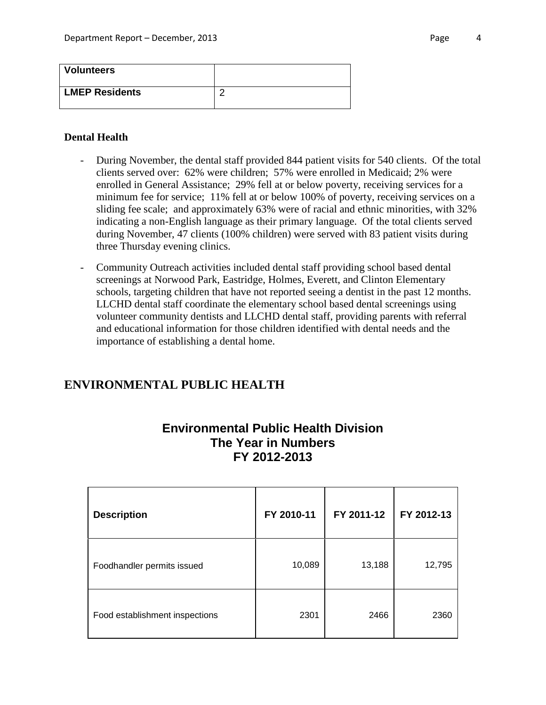| <b>Volunteers</b>     |  |
|-----------------------|--|
| <b>LMEP Residents</b> |  |

#### **Dental Health**

- During November, the dental staff provided 844 patient visits for 540 clients. Of the total clients served over: 62% were children; 57% were enrolled in Medicaid; 2% were enrolled in General Assistance; 29% fell at or below poverty, receiving services for a minimum fee for service; 11% fell at or below 100% of poverty, receiving services on a sliding fee scale; and approximately 63% were of racial and ethnic minorities, with 32% indicating a non-English language as their primary language. Of the total clients served during November, 47 clients (100% children) were served with 83 patient visits during three Thursday evening clinics.
- Community Outreach activities included dental staff providing school based dental screenings at Norwood Park, Eastridge, Holmes, Everett, and Clinton Elementary schools, targeting children that have not reported seeing a dentist in the past 12 months. LLCHD dental staff coordinate the elementary school based dental screenings using volunteer community dentists and LLCHD dental staff, providing parents with referral and educational information for those children identified with dental needs and the importance of establishing a dental home.

## **ENVIRONMENTAL PUBLIC HEALTH**

# **Environmental Public Health Division The Year in Numbers FY 2012-2013**

| <b>Description</b>             | FY 2010-11 | FY 2011-12 | FY 2012-13 |
|--------------------------------|------------|------------|------------|
| Foodhandler permits issued     | 10,089     | 13,188     | 12,795     |
| Food establishment inspections | 2301       | 2466       | 2360       |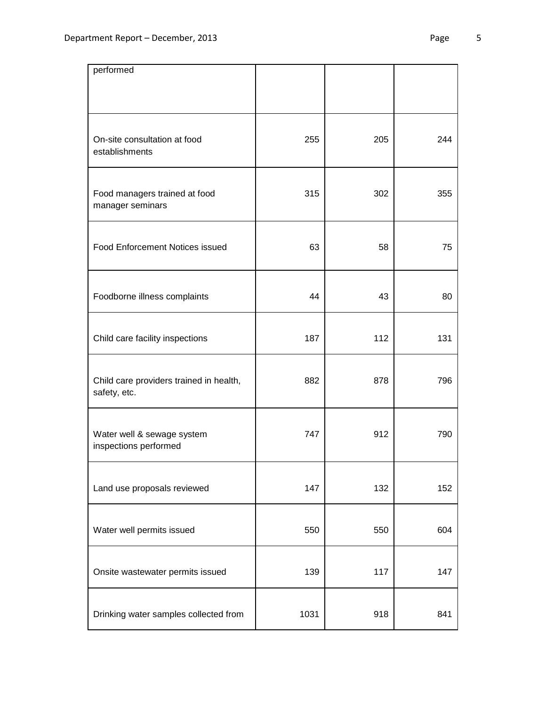| performed                                               |      |     |     |
|---------------------------------------------------------|------|-----|-----|
| On-site consultation at food<br>establishments          | 255  | 205 | 244 |
| Food managers trained at food<br>manager seminars       | 315  | 302 | 355 |
| <b>Food Enforcement Notices issued</b>                  | 63   | 58  | 75  |
| Foodborne illness complaints                            | 44   | 43  | 80  |
| Child care facility inspections                         | 187  | 112 | 131 |
| Child care providers trained in health,<br>safety, etc. | 882  | 878 | 796 |
| Water well & sewage system<br>inspections performed     | 747  | 912 | 790 |
| Land use proposals reviewed                             | 147  | 132 | 152 |
| Water well permits issued                               | 550  | 550 | 604 |
| Onsite wastewater permits issued                        | 139  | 117 | 147 |
| Drinking water samples collected from                   | 1031 | 918 | 841 |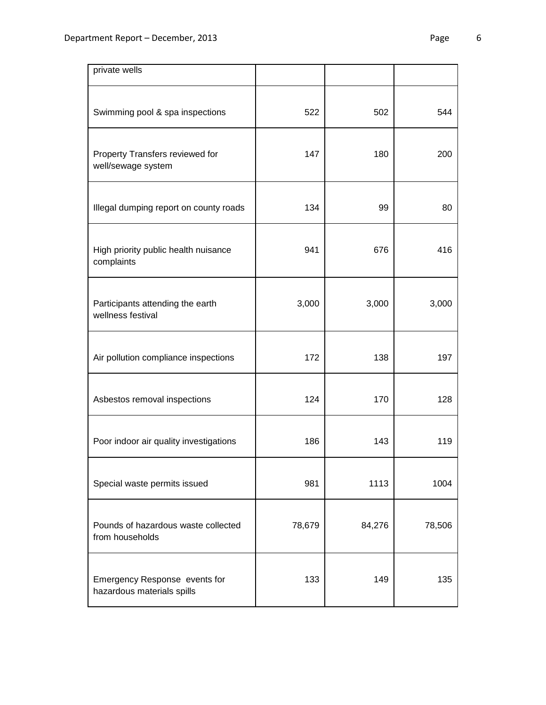| private wells                                               |        |        |        |
|-------------------------------------------------------------|--------|--------|--------|
| Swimming pool & spa inspections                             | 522    | 502    | 544    |
| Property Transfers reviewed for<br>well/sewage system       | 147    | 180    | 200    |
| Illegal dumping report on county roads                      | 134    | 99     | 80     |
| High priority public health nuisance<br>complaints          | 941    | 676    | 416    |
| Participants attending the earth<br>wellness festival       | 3,000  | 3,000  | 3,000  |
| Air pollution compliance inspections                        | 172    | 138    | 197    |
| Asbestos removal inspections                                | 124    | 170    | 128    |
| Poor indoor air quality investigations                      | 186    | 143    | 119    |
| Special waste permits issued                                | 981    | 1113   | 1004   |
| Pounds of hazardous waste collected<br>from households      | 78,679 | 84,276 | 78,506 |
| Emergency Response events for<br>hazardous materials spills | 133    | 149    | 135    |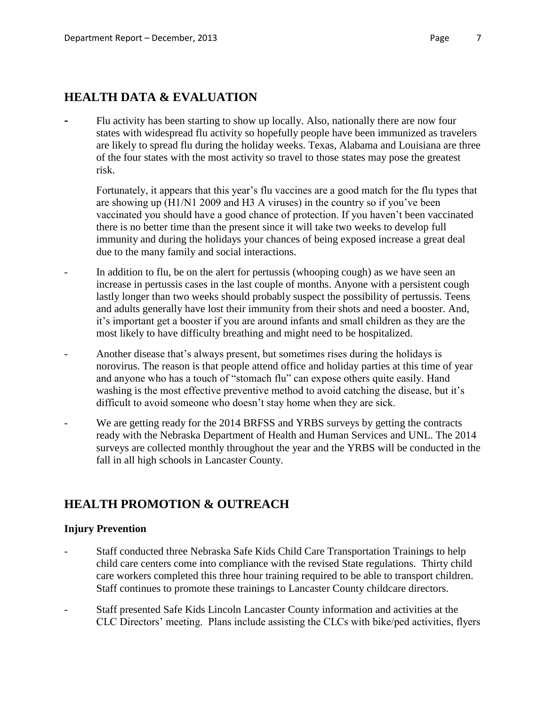# **HEALTH DATA & EVALUATION**

**-** Flu activity has been starting to show up locally. Also, nationally there are now four states with widespread flu activity so hopefully people have been immunized as travelers are likely to spread flu during the holiday weeks. Texas, Alabama and Louisiana are three of the four states with the most activity so travel to those states may pose the greatest risk.

Fortunately, it appears that this year's flu vaccines are a good match for the flu types that are showing up (H1/N1 2009 and H3 A viruses) in the country so if you've been vaccinated you should have a good chance of protection. If you haven't been vaccinated there is no better time than the present since it will take two weeks to develop full immunity and during the holidays your chances of being exposed increase a great deal due to the many family and social interactions.

- In addition to flu, be on the alert for pertussis (whooping cough) as we have seen an increase in pertussis cases in the last couple of months. Anyone with a persistent cough lastly longer than two weeks should probably suspect the possibility of pertussis. Teens and adults generally have lost their immunity from their shots and need a booster. And, it's important get a booster if you are around infants and small children as they are the most likely to have difficulty breathing and might need to be hospitalized.
- Another disease that's always present, but sometimes rises during the holidays is norovirus. The reason is that people attend office and holiday parties at this time of year and anyone who has a touch of "stomach flu" can expose others quite easily. Hand washing is the most effective preventive method to avoid catching the disease, but it's difficult to avoid someone who doesn't stay home when they are sick.
- We are getting ready for the 2014 BRFSS and YRBS surveys by getting the contracts ready with the Nebraska Department of Health and Human Services and UNL. The 2014 surveys are collected monthly throughout the year and the YRBS will be conducted in the fall in all high schools in Lancaster County.

# **HEALTH PROMOTION & OUTREACH**

## **Injury Prevention**

- Staff conducted three Nebraska Safe Kids Child Care Transportation Trainings to help child care centers come into compliance with the revised State regulations. Thirty child care workers completed this three hour training required to be able to transport children. Staff continues to promote these trainings to Lancaster County childcare directors.
- Staff presented Safe Kids Lincoln Lancaster County information and activities at the CLC Directors' meeting. Plans include assisting the CLCs with bike/ped activities, flyers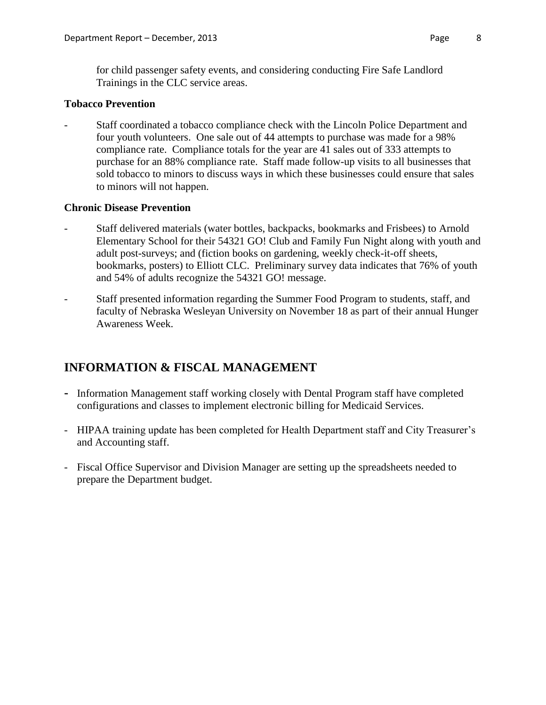for child passenger safety events, and considering conducting Fire Safe Landlord Trainings in the CLC service areas.

## **Tobacco Prevention**

Staff coordinated a tobacco compliance check with the Lincoln Police Department and four youth volunteers. One sale out of 44 attempts to purchase was made for a 98% compliance rate. Compliance totals for the year are 41 sales out of 333 attempts to purchase for an 88% compliance rate. Staff made follow-up visits to all businesses that sold tobacco to minors to discuss ways in which these businesses could ensure that sales to minors will not happen.

# **Chronic Disease Prevention**

- Staff delivered materials (water bottles, backpacks, bookmarks and Frisbees) to Arnold Elementary School for their 54321 GO! Club and Family Fun Night along with youth and adult post-surveys; and (fiction books on gardening, weekly check-it-off sheets, bookmarks, posters) to Elliott CLC. Preliminary survey data indicates that 76% of youth and 54% of adults recognize the 54321 GO! message.
- Staff presented information regarding the Summer Food Program to students, staff, and faculty of Nebraska Wesleyan University on November 18 as part of their annual Hunger Awareness Week.

# **INFORMATION & FISCAL MANAGEMENT**

- **-** Information Management staff working closely with Dental Program staff have completed configurations and classes to implement electronic billing for Medicaid Services.
- HIPAA training update has been completed for Health Department staff and City Treasurer's and Accounting staff.
- Fiscal Office Supervisor and Division Manager are setting up the spreadsheets needed to prepare the Department budget.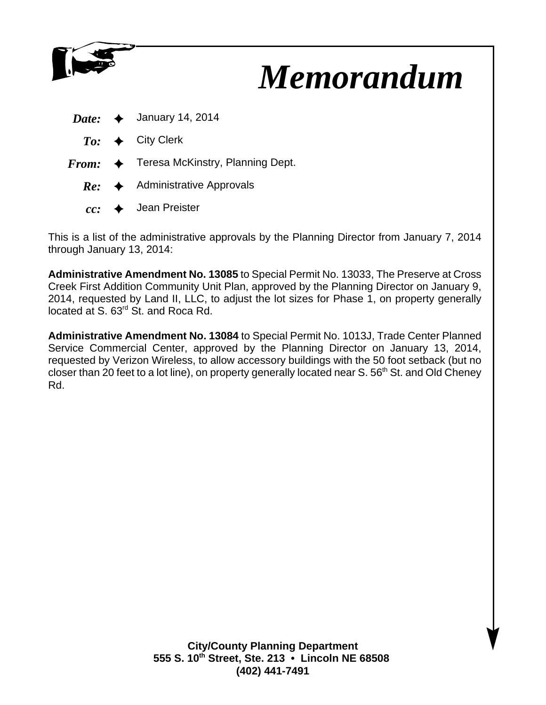

# *Memorandum*

|  | <i>Date:</i> $\leftrightarrow$ January 14, 2014          |
|--|----------------------------------------------------------|
|  | $To: \rightarrow$ City Clerk                             |
|  | $From: \Leftrightarrow$ Teresa McKinstry, Planning Dept. |
|  | $Re:$ Administrative Approvals                           |
|  | $cc:$ $\leftrightarrow$ Jean Preister                    |

This is a list of the administrative approvals by the Planning Director from January 7, 2014 through January 13, 2014:

**Administrative Amendment No. 13085** to Special Permit No. 13033, The Preserve at Cross Creek First Addition Community Unit Plan, approved by the Planning Director on January 9, 2014, requested by Land II, LLC, to adjust the lot sizes for Phase 1, on property generally located at S. 63rd St. and Roca Rd.

**Administrative Amendment No. 13084** to Special Permit No. 1013J, Trade Center Planned Service Commercial Center, approved by the Planning Director on January 13, 2014, requested by Verizon Wireless, to allow accessory buildings with the 50 foot setback (but no closer than 20 feet to a lot line), on property generally located near S.  $56<sup>th</sup>$  St. and Old Cheney Rd.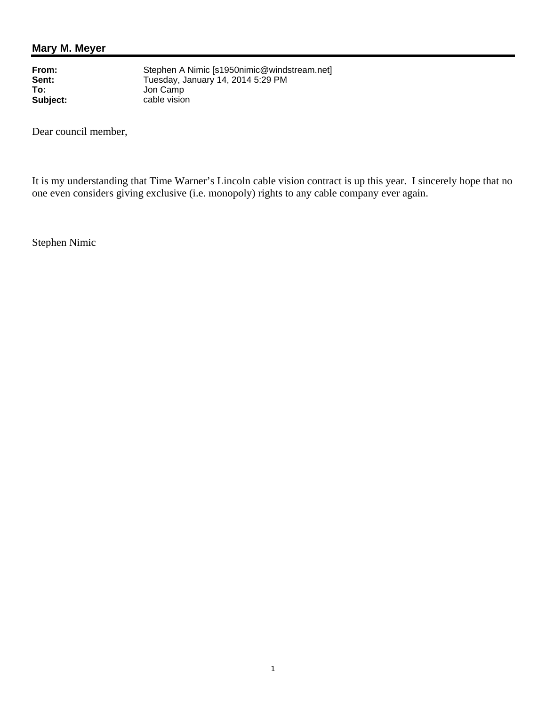# **Mary M. Meyer**

**To:**<br> **To:**<br> **Subject:**<br> **Subject:**<br> **Cable vision** 

**From:** Stephen A Nimic [s1950nimic@windstream.net]<br> **Sent:** Tuesday. January 14. 2014 5:29 PM Sent:<br> **Sent:**<br>
Tuesday, January 14, 2014 5:29 PM<br>
To:<br>
Jon Camp cable vision

Dear council member,

It is my understanding that Time Warner's Lincoln cable vision contract is up this year. I sincerely hope that no one even considers giving exclusive (i.e. monopoly) rights to any cable company ever again.

Stephen Nimic